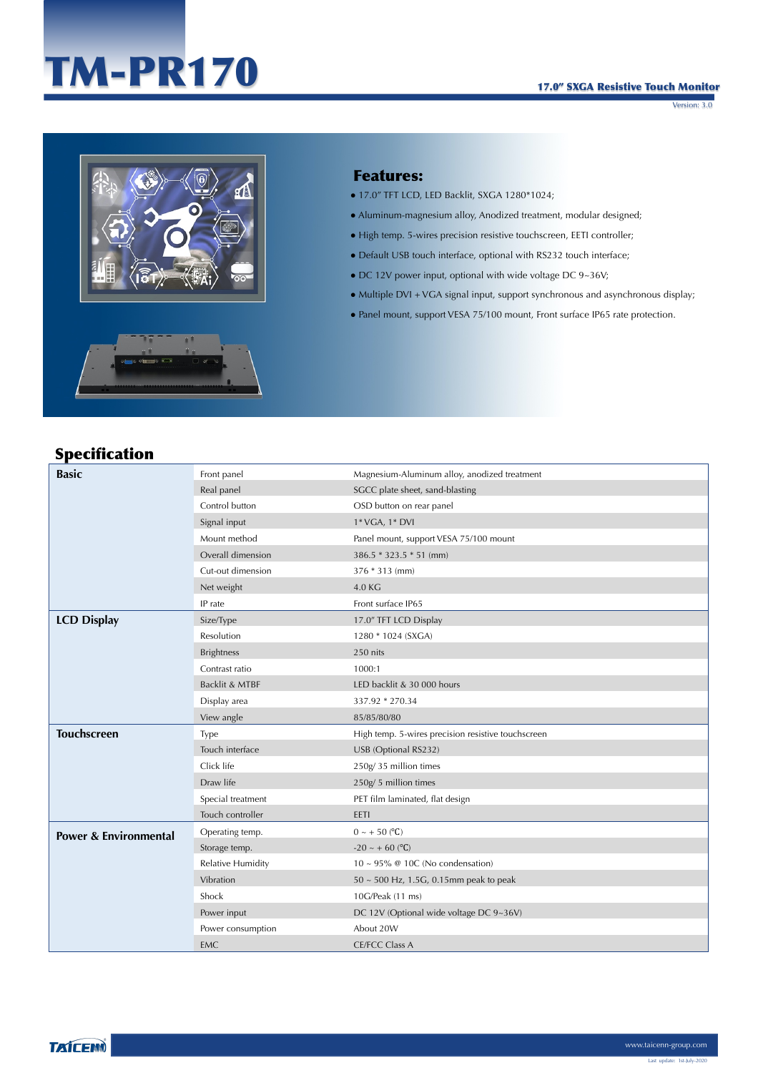# TM-PR170

#### 17.0" SXGA Resistive Touch Monitor

Version: 3.0



#### Features:

- 17.0" TFT LCD, LED Backlit, SXGA 1280\*1024;
- Aluminum-magnesium alloy, Anodized treatment, modular designed;
- High temp. 5-wires precision resistive touchscreen, EETI controller;
- Default USB touch interface, optional with RS232 touch interface;
- $\bullet$  DC 12V power input, optional with wide voltage DC 9~36V;
- Multiple DVI + VGA signal input, support synchronous and asynchronous display;
- Panel mount, support VESA 75/100 mount, Front surface IP65 rate protection.

### Specification

| <b>Basic</b>                     | Front panel              | Magnesium-Aluminum alloy, anodized treatment       |
|----------------------------------|--------------------------|----------------------------------------------------|
|                                  | Real panel               | SGCC plate sheet, sand-blasting                    |
|                                  | Control button           | OSD button on rear panel                           |
|                                  | Signal input             | 1* VGA, 1* DVI                                     |
|                                  | Mount method             | Panel mount, support VESA 75/100 mount             |
|                                  | Overall dimension        | 386.5 * 323.5 * 51 (mm)                            |
|                                  | Cut-out dimension        | 376 * 313 (mm)                                     |
|                                  | Net weight               | 4.0 KG                                             |
|                                  | IP rate                  | Front surface IP65                                 |
| <b>LCD Display</b>               | Size/Type                | 17.0" TFT LCD Display                              |
|                                  | Resolution               | 1280 * 1024 (SXGA)                                 |
|                                  | <b>Brightness</b>        | 250 nits                                           |
|                                  | Contrast ratio           | 1000:1                                             |
|                                  | Backlit & MTBF           | LED backlit & 30 000 hours                         |
|                                  | Display area             | 337.92 * 270.34                                    |
|                                  | View angle               | 85/85/80/80                                        |
| <b>Touchscreen</b>               | Type                     | High temp. 5-wires precision resistive touchscreen |
|                                  | Touch interface          | USB (Optional RS232)                               |
|                                  | Click life               | 250g/35 million times                              |
|                                  | Draw life                | 250g/5 million times                               |
|                                  | Special treatment        | PET film laminated, flat design                    |
|                                  | Touch controller         | EETI                                               |
| <b>Power &amp; Environmental</b> | Operating temp.          | $0 \sim +50$ (°C)                                  |
|                                  | Storage temp.            | $-20 \sim +60$ (°C)                                |
|                                  | <b>Relative Humidity</b> | $10 \sim 95\%$ @ 10C (No condensation)             |
|                                  | Vibration                | $50 \sim 500$ Hz, 1.5G, 0.15mm peak to peak        |
|                                  | Shock                    | 10G/Peak (11 ms)                                   |
|                                  | Power input              | DC 12V (Optional wide voltage DC 9~36V)            |
|                                  | Power consumption        | About 20W                                          |
|                                  | <b>EMC</b>               | <b>CE/FCC Class A</b>                              |